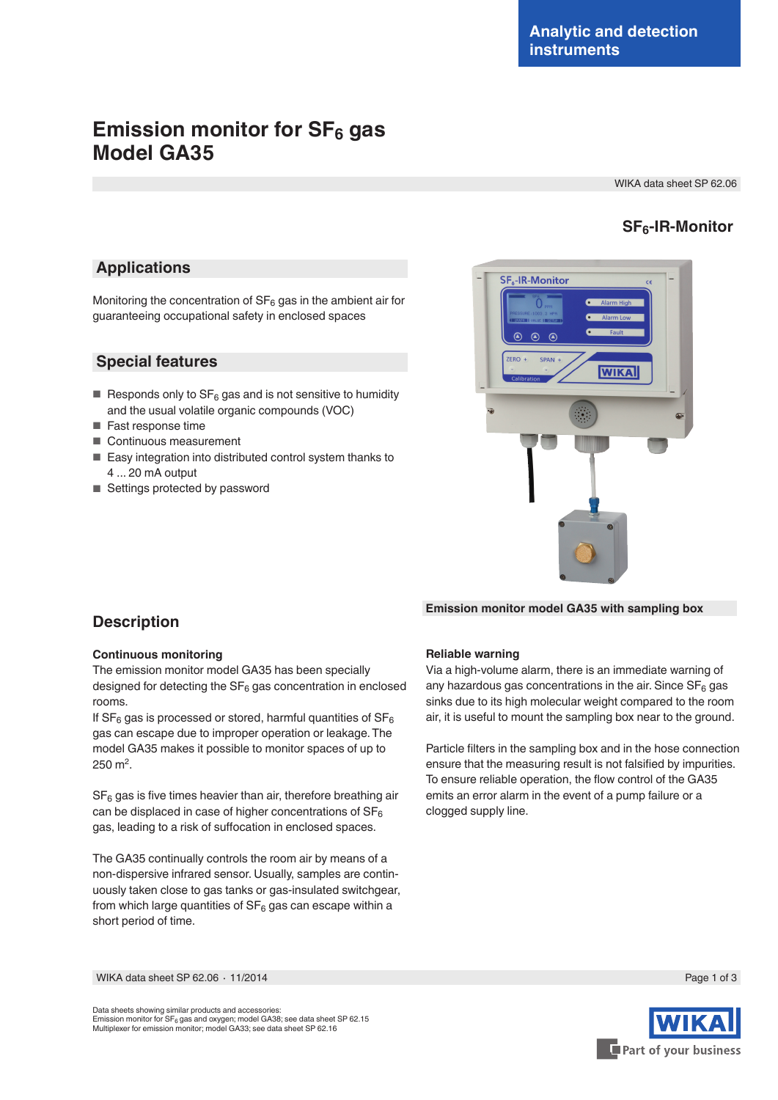# **Emission monitor for SF<sub>6</sub> gas Model GA35**

WIKA data sheet SP 62.06

### **SF6-IR-Monitor**

### **Applications**

Monitoring the concentration of  $SF<sub>6</sub>$  gas in the ambient air for guaranteeing occupational safety in enclosed spaces

### **Special features**

- Responds only to  $SF_6$  gas and is not sensitive to humidity and the usual volatile organic compounds (VOC)
- Fast response time
- Continuous measurement
- Easy integration into distributed control system thanks to 4 ... 20 mA output
- Settings protected by password



#### **Emission monitor model GA35 with sampling box**

### **Description**

#### **Continuous monitoring**

The emission monitor model GA35 has been specially designed for detecting the  $SF_6$  gas concentration in enclosed rooms.

If  $SF_6$  gas is processed or stored, harmful quantities of  $SF_6$ gas can escape due to improper operation or leakage. The model GA35 makes it possible to monitor spaces of up to 250 m2.

 $SF<sub>6</sub>$  gas is five times heavier than air, therefore breathing air can be displaced in case of higher concentrations of  $SF_6$ gas, leading to a risk of suffocation in enclosed spaces.

The GA35 continually controls the room air by means of a non-dispersive infrared sensor. Usually, samples are continuously taken close to gas tanks or gas-insulated switchgear, from which large quantities of  $SF_6$  gas can escape within a short period of time.

#### **Reliable warning**

Via a high-volume alarm, there is an immediate warning of any hazardous gas concentrations in the air. Since  $SF<sub>6</sub>$  gas sinks due to its high molecular weight compared to the room air, it is useful to mount the sampling box near to the ground.

Particle filters in the sampling box and in the hose connection ensure that the measuring result is not falsified by impurities. To ensure reliable operation, the flow control of the GA35 emits an error alarm in the event of a pump failure or a clogged supply line.

WIKA data sheet SP 62.06 ⋅ 11/2014 Page 1 of 3

Data sheets showing similar products and accessories: Emission monitor for SF<sub>6</sub> gas and oxygen; model GA38; see data sheet SP 62.15<br>Multiplexer for emission monitor; model GA33; see data sheet SP 62.16

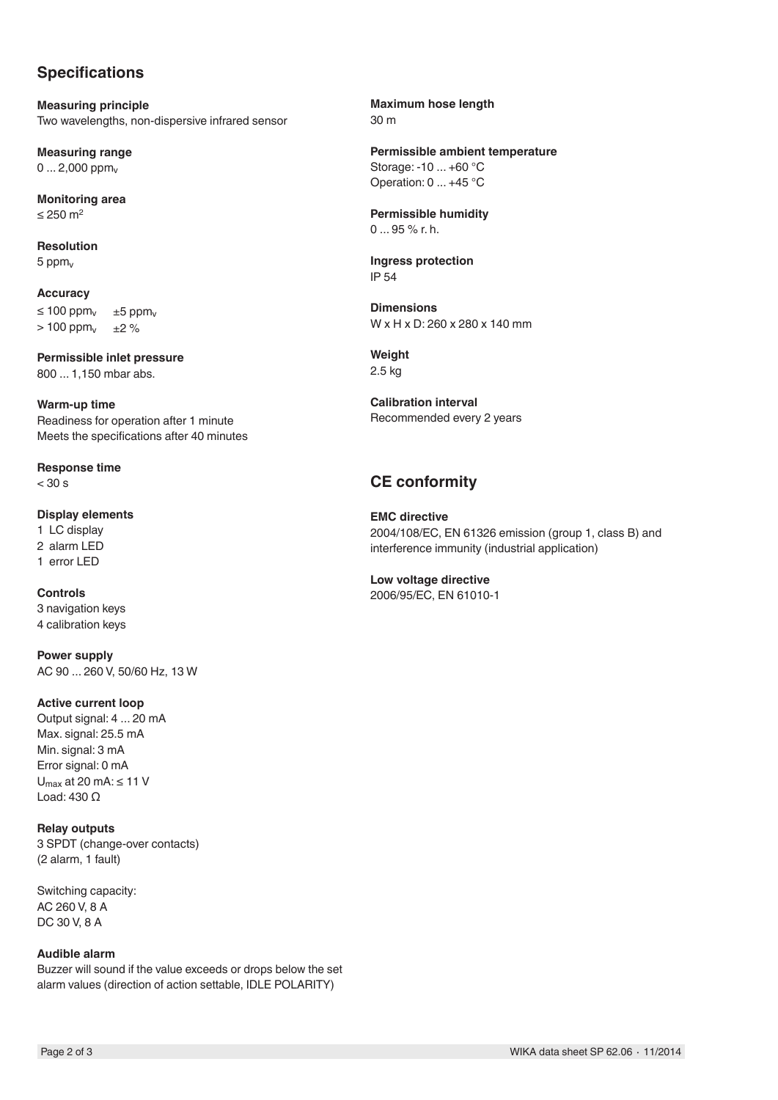# **Specifications**

**Measuring principle** Two wavelengths, non-dispersive infrared sensor

**Measuring range**  $0...2,000$  ppm<sub>v</sub>

**Monitoring area**  $≤$  250 m<sup>2</sup>

**Resolution** 5 pp $m_v$ 

**Accuracy**  $≤ 100$  ppm<sub>v</sub>  $± 5$  ppm<sub>v</sub><br>> 100 ppm<sub>v</sub>  $± 2$  %  $> 100$  ppm $<sub>v</sub>$ </sub>

**Permissible inlet pressure** 800 ... 1,150 mbar abs.

**Warm-up time** Readiness for operation after 1 minute Meets the specifications after 40 minutes

**Response time**  $< 30 s$ 

**Display elements** 1 LC display 2 alarm LED 1 error LED

**Controls** 3 navigation keys 4 calibration keys

**Power supply** AC 90 ... 260 V, 50/60 Hz, 13 W

#### **Active current loop**

Output signal: 4 ... 20 mA Max. signal: 25.5 mA Min. signal: 3 mA Error signal: 0 mA U<sub>may</sub> at 20 mA: ≤ 11 V Load: 430 Q

**Relay outputs** 3 SPDT (change-over contacts) (2 alarm, 1 fault)

Switching capacity: AC 260 V, 8 A DC 30 V, 8 A

#### **Audible alarm**

Buzzer will sound if the value exceeds or drops below the set alarm values (direction of action settable, IDLE POLARITY)

**Maximum hose length** 30 m

**Permissible ambient temperature** Storage: -10 ... +60 °C Operation: 0 ... +45 °C

**Permissible humidity** 0 ... 95 % r. h.

**Ingress protection** IP 54

**Dimensions** W x H x D: 260 x 280 x 140 mm

**Weight** 2.5 kg

**Calibration interval** Recommended every 2 years

# **CE conformity**

**EMC directive** 2004/108/EC, EN 61326 emission (group 1, class B) and interference immunity (industrial application)

**Low voltage directive** 2006/95/EC, EN 61010-1